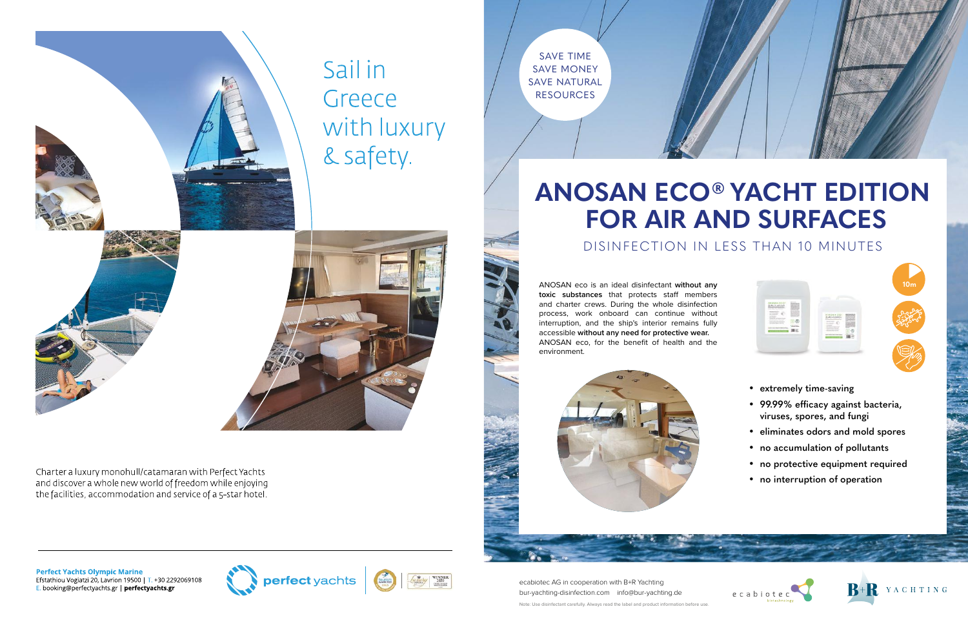

ANOSAN eco is an ideal disinfectant **without any**  toxic substances that protects staff members and charter crews. During the whole disinfection process, work onboard can continue without interruption, and the ship's interior remains fully accessible **without any need for protective wear.** ANOSAN eco, for the benefit of health and the environment.



- **extremely time-saving**
- 99.99% efficacy against bacteria, **viruses, spores, and fungi**
- **eliminates odors and mold spores**
- **no accumulation of pollutants**
- **no protective equipment required**
- **no interruption of operation**









## **ANOSAN ECO® YACHT EDITION FOR AIR AND SURFACES** DISINFECTION IN LESS THAN 10 MINUTES

ecabiotec AG in cooperation with B+R Yachting bur-yachting-disinfection.com info@bur-yachting.de Note: Use disinfectant carefully. Always read the label and product information before use.

SAVE TIME SAVE MONEY SAVE NATURAL RESOURCES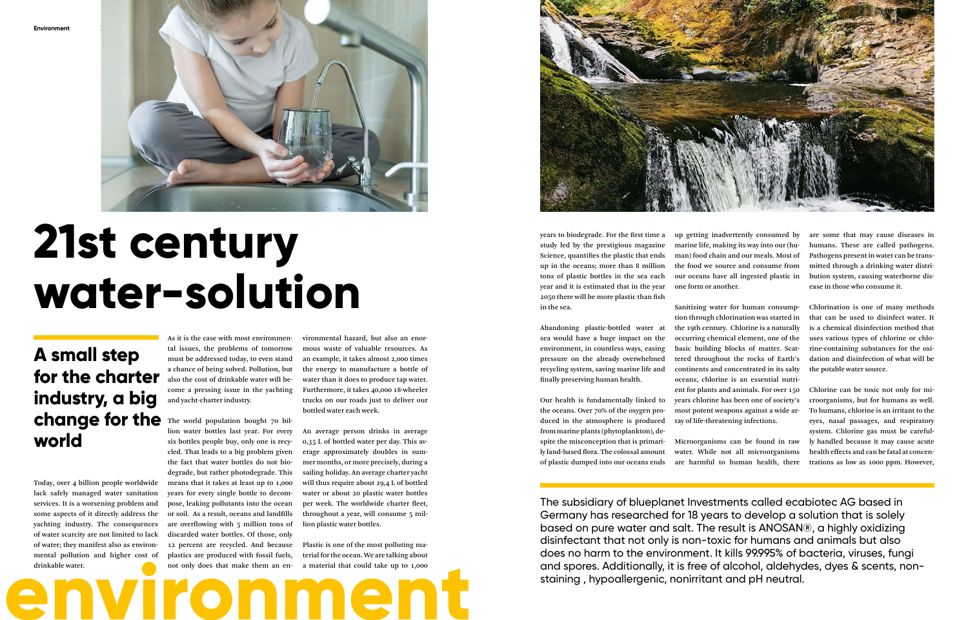

Today, over 4 billion people worldwide lack safely managed water sanitation services. It is a worsening problem and some aspects of it directly address the yachting industry. The consequences of water scarcity are not limited to lack of water; they manifest also as environmental pollution and higher cost of drinkable water.

As it is the case with most environmental issues, the problems of tomorrow must be addressed today, to even stand a chance of being solved. Pollution, but also the cost of drinkable water will become a pressing issue in the yachting and yacht-charter industry.

drinkable water.<br>
not only does that make them an en-<br>
a material that could take up to 1,000 lion water bottles last year. For every six bottles people buy, only one is recycled. That leads to a big problem given the fact that water bottles do not biodegrade, but rather photodegrade. This means that it takes at least up to 1,000 years for every single bottle to decompose, leaking pollutants into the ocean or soil. As a result, oceans and landfills are overflowing with 5 million tons of discarded water bottles. Of those, only 12 percent are recycled. And because plastics are produced with fossil fuels, not only does that make them an en-

## change for the The world population bought 70 bil-**A small step for the charter industry, a big world**

vironmental hazard, but also an enormous waste of valuable resources. As an example, it takes almost 2,000 times the energy to manufacture a bottle of water than it does to produce tap water. Furthermore, it takes 40,000 18-wheeler trucks on our roads just to deliver our bottled water each week.

An average person drinks in average 0,35 L of bottled water per day. This average approximately doubles in summer months, or more precisely, during a sailing holiday. An average charter yacht will thus require about 29,4 L of bottled water or about 20 plastic water bottles per week. The worldwide charter fleet, throughout a year, will consume 5 million plastic water bottles.

Plastic is one of the most polluting material for the ocean. We are talking about a material that could take up to 1,000



# **21st century water-solution**

years to biodegrade. For the first time a study led by the prestigious magazine Science, quantifies the plastic that ends up in the oceans; more than 8 million tons of plastic bottles in the sea each year and it is estimated that in the year 2050 there will be more plastic than fish in the sea.

Abandoning plastic-bottled water at sea would have a huge impact on the environment, in countless ways, easing pressure on the already overwhelmed recycling system, saving marine life and finally preserving human health.

Our health is fundamentally linked to the oceans. Over 70% of the oxygen produced in the atmosphere is produced from marine plants (phytoplankton), despite the misconception that is primarily land-based flora. The colossal amount of plastic dumped into our oceans ends

up getting inadvertently consumed by marine life, making its way into our (human) food chain and our meals. Most of the food we source and consume from our oceans have all ingested plastic in

one form or another.

Sanitizing water for human consumption through chlorination was started in the 19th century. Chlorine is a naturally occurring chemical element, one of the basic building blocks of matter. Scattered throughout the rocks of Earth's continents and concentrated in its salty oceans, chlorine is an essential nutrient for plants and animals. For over 150 years chlorine has been one of society's most potent weapons against a wide array of life-threatening infections.

Microorganisms can be found in raw water. While not all microorganisms are harmful to human health, there

are some that may cause diseases in humans. These are called pathogens. Pathogens present in water can be transmitted through a drinking water distribution system, causing waterborne disease in those who consume it.

Chlorination is one of many methods that can be used to disinfect water. It is a chemical disinfection method that uses various types of chlorine or chlorine-containing substances for the oxidation and disinfection of what will be the potable water source.

Chlorine can be toxic not only for microorganisms, but for humans as well. To humans, chlorine is an irritant to the eyes, nasal passages, and respiratory system. Chlorine gas must be carefully handled because it may cause acute health effects and can be fatal at concentrations as low as 1000 ppm. However,

The subsidiary of blueplanet Investments called ecabiotec AG based in Germany has researched for 18 years to develop a solution that is solely based on pure water and salt. The result is ANOSAN®, a highly oxidizing disinfectant that not only is non-toxic for humans and animals but also does no harm to the environment. It kills 99.995% of bacteria, viruses, fungi and spores. Additionally, it is free of alcohol, aldehydes, dyes & scents, nonstaining , hypoallergenic, nonirritant and pH neutral.